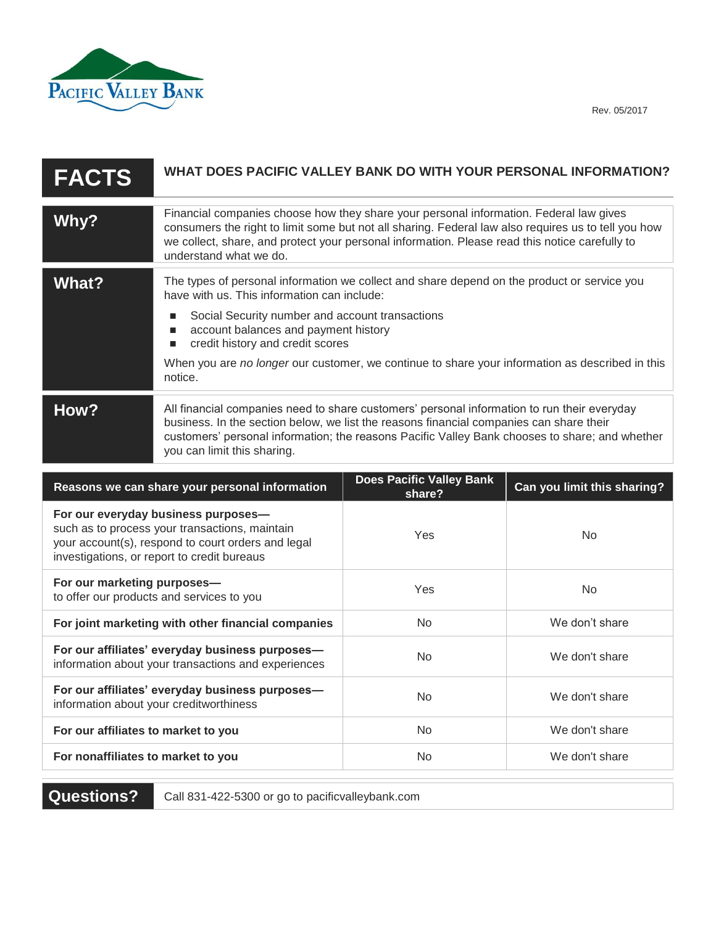

| <b>FACTS</b> | WHAT DOES PACIFIC VALLEY BANK DO WITH YOUR PERSONAL INFORMATION?                                                                                                                                                                                                                                                                                                                             |
|--------------|----------------------------------------------------------------------------------------------------------------------------------------------------------------------------------------------------------------------------------------------------------------------------------------------------------------------------------------------------------------------------------------------|
| Why?         | Financial companies choose how they share your personal information. Federal law gives<br>consumers the right to limit some but not all sharing. Federal law also requires us to tell you how<br>we collect, share, and protect your personal information. Please read this notice carefully to<br>understand what we do.                                                                    |
| What?        | The types of personal information we collect and share depend on the product or service you<br>have with us. This information can include:<br>Social Security number and account transactions<br>account balances and payment history<br>п<br>credit history and credit scores<br>When you are no longer our customer, we continue to share your information as described in this<br>notice. |
| How?         | All financial companies need to share customers' personal information to run their everyday<br>business. In the section below, we list the reasons financial companies can share their<br>customers' personal information; the reasons Pacific Valley Bank chooses to share; and whether<br>you can limit this sharing.                                                                      |

| Reasons we can share your personal information                                                                                                                                             | <b>Does Pacific Valley Bank</b><br>share? | Can you limit this sharing? |
|--------------------------------------------------------------------------------------------------------------------------------------------------------------------------------------------|-------------------------------------------|-----------------------------|
| For our everyday business purposes-<br>such as to process your transactions, maintain<br>your account(s), respond to court orders and legal<br>investigations, or report to credit bureaus | <b>Yes</b>                                | N <sub>0</sub>              |
| For our marketing purposes-<br>to offer our products and services to you                                                                                                                   | <b>Yes</b>                                | N <sub>0</sub>              |
| For joint marketing with other financial companies                                                                                                                                         | <b>No</b>                                 | We don't share              |
| For our affiliates' everyday business purposes-<br>information about your transactions and experiences                                                                                     | No.                                       | We don't share              |
| For our affiliates' everyday business purposes-<br>information about your creditworthiness                                                                                                 | <b>No</b>                                 | We don't share              |
| For our affiliates to market to you                                                                                                                                                        | <b>No</b>                                 | We don't share              |
| For nonaffiliates to market to you                                                                                                                                                         | <b>No</b>                                 | We don't share              |

**Questions?** Call 831-422-5300 or go to pacificvalleybank.com

Rev. 05/2017